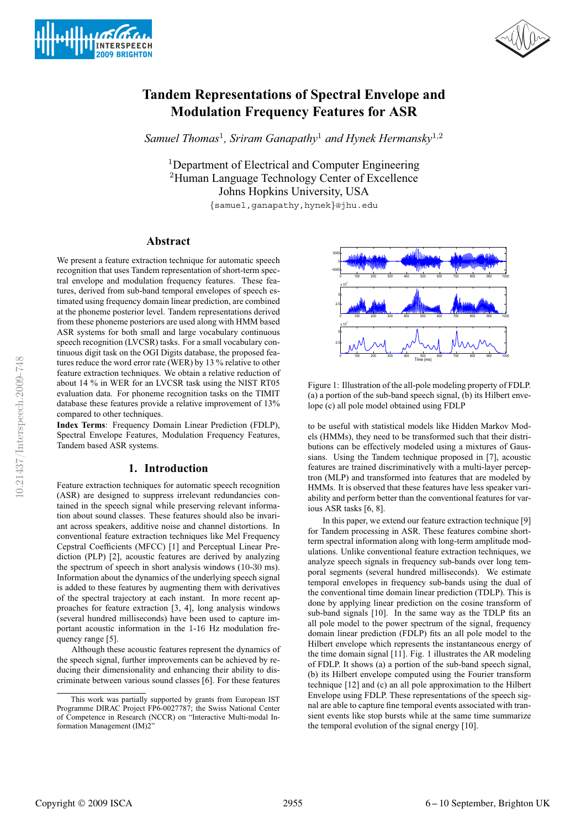



# **Tandem Representations of Spectral Envelope and Modulation Frequency Features for ASR**

*Samuel Thomas*1*, Sriram Ganapathy*<sup>1</sup> *and Hynek Hermansky*1,<sup>2</sup>

<sup>1</sup>Department of Electrical and Computer Engineering <sup>2</sup>Human Language Technology Center of Excellence Johns Hopkins University, USA {samuel,ganapathy,hynek}@jhu.edu

## **Abstract**

We present a feature extraction technique for automatic speech recognition that uses Tandem representation of short-term spectral envelope and modulation frequency features. These features, derived from sub-band temporal envelopes of speech estimated using frequency domain linear prediction, are combined at the phoneme posterior level. Tandem representations derived from these phoneme posteriors are used along with HMM based ASR systems for both small and large vocabulary continuous speech recognition (LVCSR) tasks. For a small vocabulary continuous digit task on the OGI Digits database, the proposed features reduce the word error rate (WER) by 13 % relative to other feature extraction techniques. We obtain a relative reduction of about 14 % in WER for an LVCSR task using the NIST RT05 evaluation data. For phoneme recognition tasks on the TIMIT database these features provide a relative improvement of 13% compared to other techniques.

**Index Terms**: Frequency Domain Linear Prediction (FDLP), Spectral Envelope Features, Modulation Frequency Features, Tandem based ASR systems.

## **1. Introduction**

Feature extraction techniques for automatic speech recognition (ASR) are designed to suppress irrelevant redundancies contained in the speech signal while preserving relevant information about sound classes. These features should also be invariant across speakers, additive noise and channel distortions. In conventional feature extraction techniques like Mel Frequency Cepstral Coefficients (MFCC) [1] and Perceptual Linear Prediction (PLP) [2], acoustic features are derived by analyzing the spectrum of speech in short analysis windows (10-30 ms). Information about the dynamics of the underlying speech signal is added to these features by augmenting them with derivatives of the spectral trajectory at each instant. In more recent approaches for feature extraction [3, 4], long analysis windows (several hundred milliseconds) have been used to capture important acoustic information in the 1-16 Hz modulation frequency range [5].

Although these acoustic features represent the dynamics of the speech signal, further improvements can be achieved by reducing their dimensionality and enhancing their ability to discriminate between various sound classes [6]. For these features



Figure 1: Illustration of the all-pole modeling property of FDLP. (a) a portion of the sub-band speech signal, (b) its Hilbert envelope (c) all pole model obtained using FDLP

to be useful with statistical models like Hidden Markov Models (HMMs), they need to be transformed such that their distributions can be effectively modeled using a mixtures of Gaussians. Using the Tandem technique proposed in [7], acoustic features are trained discriminatively with a multi-layer perceptron (MLP) and transformed into features that are modeled by HMMs. It is observed that these features have less speaker variability and perform better than the conventional features for various ASR tasks [6, 8].

In this paper, we extend our feature extraction technique [9] for Tandem processing in ASR. These features combine shortterm spectral information along with long-term amplitude modulations. Unlike conventional feature extraction techniques, we analyze speech signals in frequency sub-bands over long temporal segments (several hundred milliseconds). We estimate temporal envelopes in frequency sub-bands using the dual of the conventional time domain linear prediction (TDLP). This is done by applying linear prediction on the cosine transform of sub-band signals [10]. In the same way as the TDLP fits an all pole model to the power spectrum of the signal, frequency domain linear prediction (FDLP) fits an all pole model to the Hilbert envelope which represents the instantaneous energy of the time domain signal [11]. Fig. 1 illustrates the AR modeling of FDLP. It shows (a) a portion of the sub-band speech signal, (b) its Hilbert envelope computed using the Fourier transform technique [12] and (c) an all pole approximation to the Hilbert Envelope using FDLP. These representations of the speech signal are able to capture fine temporal events associated with transient events like stop bursts while at the same time summarize the temporal evolution of the signal energy [10].

This work was partially supported by grants from European IST Programme DIRAC Project FP6-0027787; the Swiss National Center of Competence in Research (NCCR) on "Interactive Multi-modal Information Management (IM)2"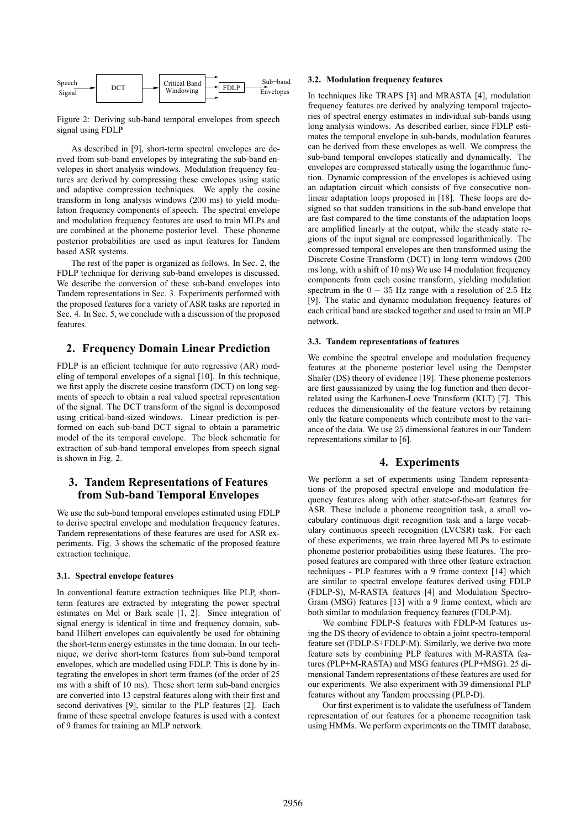| Speech<br>Signal | DCT |  | <b>Critical Band</b><br>Windowing | <b>FDLP</b> | Sub-band<br>Envelopes |
|------------------|-----|--|-----------------------------------|-------------|-----------------------|
|------------------|-----|--|-----------------------------------|-------------|-----------------------|

Figure 2: Deriving sub-band temporal envelopes from speech signal using FDLP

As described in [9], short-term spectral envelopes are derived from sub-band envelopes by integrating the sub-band envelopes in short analysis windows. Modulation frequency features are derived by compressing these envelopes using static and adaptive compression techniques. We apply the cosine transform in long analysis windows (200 ms) to yield modulation frequency components of speech. The spectral envelope and modulation frequency features are used to train MLPs and are combined at the phoneme posterior level. These phoneme posterior probabilities are used as input features for Tandem based ASR systems.

The rest of the paper is organized as follows. In Sec. 2, the FDLP technique for deriving sub-band envelopes is discussed. We describe the conversion of these sub-band envelopes into Tandem representations in Sec. 3. Experiments performed with the proposed features for a variety of ASR tasks are reported in Sec. 4. In Sec. 5, we conclude with a discussion of the proposed features.

## **2. Frequency Domain Linear Prediction**

FDLP is an efficient technique for auto regressive (AR) modeling of temporal envelopes of a signal [10]. In this technique, we first apply the discrete cosine transform (DCT) on long segments of speech to obtain a real valued spectral representation of the signal. The DCT transform of the signal is decomposed using critical-band-sized windows. Linear prediction is performed on each sub-band DCT signal to obtain a parametric model of the its temporal envelope. The block schematic for extraction of sub-band temporal envelopes from speech signal is shown in Fig. 2.

# **3. Tandem Representations of Features from Sub-band Temporal Envelopes**

We use the sub-band temporal envelopes estimated using FDLP to derive spectral envelope and modulation frequency features. Tandem representations of these features are used for ASR experiments. Fig. 3 shows the schematic of the proposed feature extraction technique.

#### **3.1. Spectral envelope features**

In conventional feature extraction techniques like PLP, shortterm features are extracted by integrating the power spectral estimates on Mel or Bark scale [1, 2]. Since integration of signal energy is identical in time and frequency domain, subband Hilbert envelopes can equivalently be used for obtaining the short-term energy estimates in the time domain. In our technique, we derive short-term features from sub-band temporal envelopes, which are modelled using FDLP. This is done by integrating the envelopes in short term frames (of the order of 25 ms with a shift of 10 ms). These short term sub-band energies are converted into 13 cepstral features along with their first and second derivatives [9], similar to the PLP features [2]. Each frame of these spectral envelope features is used with a context of 9 frames for training an MLP network.

## **3.2. Modulation frequency features**

In techniques like TRAPS [3] and MRASTA [4], modulation frequency features are derived by analyzing temporal trajectories of spectral energy estimates in individual sub-bands using long analysis windows. As described earlier, since FDLP estimates the temporal envelope in sub-bands, modulation features can be derived from these envelopes as well. We compress the sub-band temporal envelopes statically and dynamically. The envelopes are compressed statically using the logarithmic function. Dynamic compression of the envelopes is achieved using an adaptation circuit which consists of five consecutive nonlinear adaptation loops proposed in [18]. These loops are designed so that sudden transitions in the sub-band envelope that are fast compared to the time constants of the adaptation loops are amplified linearly at the output, while the steady state regions of the input signal are compressed logarithmically. The compressed temporal envelopes are then transformed using the Discrete Cosine Transform (DCT) in long term windows (200 ms long, with a shift of 10 ms) We use 14 modulation frequency components from each cosine transform, yielding modulation spectrum in the  $0 - 35$  Hz range with a resolution of 2.5 Hz [9]. The static and dynamic modulation frequency features of each critical band are stacked together and used to train an MLP network.

#### **3.3. Tandem representations of features**

We combine the spectral envelope and modulation frequency features at the phoneme posterior level using the Dempster Shafer (DS) theory of evidence [19]. These phoneme posteriors are first gaussianized by using the log function and then decorrelated using the Karhunen-Loeve Transform (KLT) [7]. This reduces the dimensionality of the feature vectors by retaining only the feature components which contribute most to the variance of the data. We use 25 dimensional features in our Tandem representations similar to [6].

## **4. Experiments**

We perform a set of experiments using Tandem representations of the proposed spectral envelope and modulation frequency features along with other state-of-the-art features for ASR. These include a phoneme recognition task, a small vocabulary continuous digit recognition task and a large vocabulary continuous speech recognition (LVCSR) task. For each of these experiments, we train three layered MLPs to estimate phoneme posterior probabilities using these features. The proposed features are compared with three other feature extraction techniques - PLP features with a 9 frame context [14] which are similar to spectral envelope features derived using FDLP (FDLP-S), M-RASTA features [4] and Modulation Spectro-Gram (MSG) features [13] with a 9 frame context, which are both similar to modulation frequency features (FDLP-M).

We combine FDLP-S features with FDLP-M features using the DS theory of evidence to obtain a joint spectro-temporal feature set (FDLP-S+FDLP-M). Similarly, we derive two more feature sets by combining PLP features with M-RASTA features (PLP+M-RASTA) and MSG features (PLP+MSG). 25 dimensional Tandem representations of these features are used for our experiments. We also experiment with 39 dimensional PLP features without any Tandem processing (PLP-D).

Our first experiment is to validate the usefulness of Tandem representation of our features for a phoneme recognition task using HMMs. We perform experiments on the TIMIT database,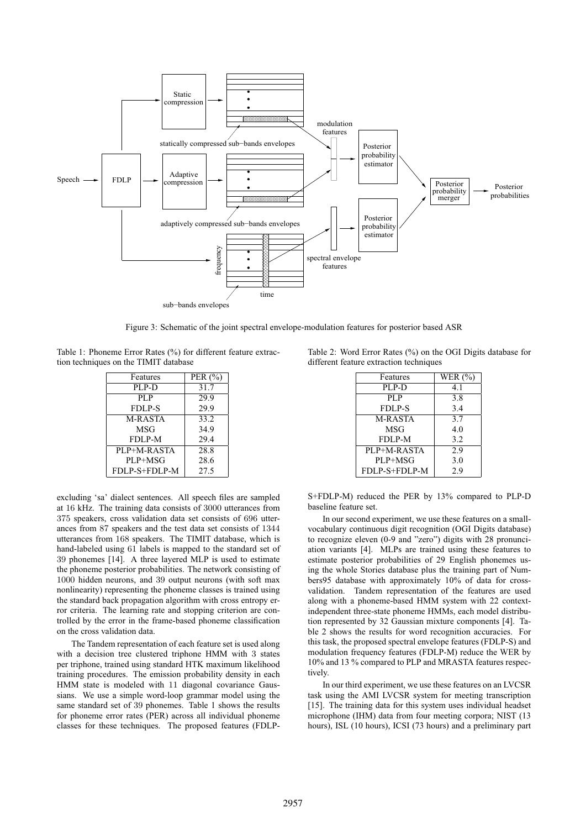

Figure 3: Schematic of the joint spectral envelope-modulation features for posterior based ASR

Table 1: Phoneme Error Rates (%) for different feature extraction techniques on the TIMIT database

| Features      | PER $(%$ |
|---------------|----------|
| PLP-D         | 31.7     |
| PL P          | 29.9     |
| <b>FDLP-S</b> | 29.9     |
| M-RASTA       | 33.2     |
| MSG           | 34.9     |
| FDLP-M        | 29.4     |
| PLP+M-RASTA   | 28.8     |
| PLP+MSG       | 28.6     |
| FDLP-S+FDLP-M | 27.5     |

excluding 'sa' dialect sentences. All speech files are sampled at 16 kHz. The training data consists of 3000 utterances from 375 speakers, cross validation data set consists of 696 utterances from 87 speakers and the test data set consists of 1344 utterances from 168 speakers. The TIMIT database, which is hand-labeled using 61 labels is mapped to the standard set of 39 phonemes [14]. A three layered MLP is used to estimate the phoneme posterior probabilities. The network consisting of 1000 hidden neurons, and 39 output neurons (with soft max nonlinearity) representing the phoneme classes is trained using the standard back propagation algorithm with cross entropy error criteria. The learning rate and stopping criterion are controlled by the error in the frame-based phoneme classification on the cross validation data.

The Tandem representation of each feature set is used along with a decision tree clustered triphone HMM with 3 states per triphone, trained using standard HTK maximum likelihood training procedures. The emission probability density in each HMM state is modeled with 11 diagonal covariance Gaussians. We use a simple word-loop grammar model using the same standard set of 39 phonemes. Table 1 shows the results for phoneme error rates (PER) across all individual phoneme classes for these techniques. The proposed features (FDLP-

Table 2: Word Error Rates (%) on the OGI Digits database for different feature extraction techniques

| Features      | WER $(\% )$ |
|---------------|-------------|
| PLP-D         | 4.1         |
| PLP           | 3.8         |
| <b>FDLP-S</b> | 3.4         |
| M-RASTA       | 3.7         |
| MSG           | 4.0         |
| FDLP-M        | 3.2         |
| PLP+M-RASTA   | 2.9         |
| PLP+MSG       | 3.0         |
| FDLP-S+FDLP-M | 2.9         |

S+FDLP-M) reduced the PER by 13% compared to PLP-D baseline feature set.

In our second experiment, we use these features on a smallvocabulary continuous digit recognition (OGI Digits database) to recognize eleven (0-9 and "zero") digits with 28 pronunciation variants [4]. MLPs are trained using these features to estimate posterior probabilities of 29 English phonemes using the whole Stories database plus the training part of Numbers95 database with approximately 10% of data for crossvalidation. Tandem representation of the features are used along with a phoneme-based HMM system with 22 contextindependent three-state phoneme HMMs, each model distribution represented by 32 Gaussian mixture components [4]. Table 2 shows the results for word recognition accuracies. For this task, the proposed spectral envelope features (FDLP-S) and modulation frequency features (FDLP-M) reduce the WER by 10% and 13 % compared to PLP and MRASTA features respectively.

In our third experiment, we use these features on an LVCSR task using the AMI LVCSR system for meeting transcription [15]. The training data for this system uses individual headset microphone (IHM) data from four meeting corpora; NIST (13 hours), ISL (10 hours), ICSI (73 hours) and a preliminary part